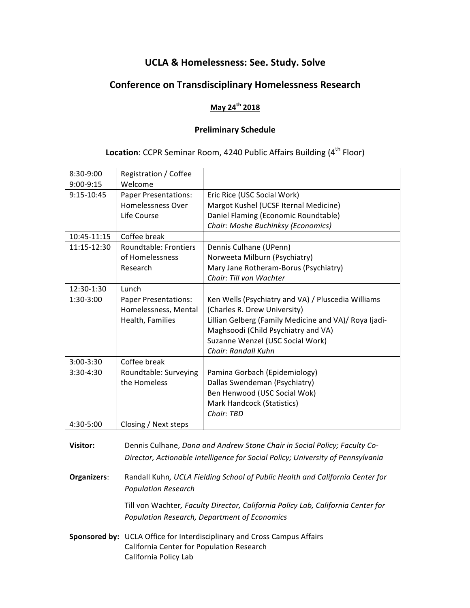# **UCLA & Homelessness: See. Study. Solve**

# **Conference on Transdisciplinary Homelessness Research**

### **May 24th 2018**

### **Preliminary Schedule**

## **Location:** CCPR Seminar Room, 4240 Public Affairs Building (4<sup>th</sup> Floor)

| 8:30-9:00   | Registration / Coffee        |                                                       |
|-------------|------------------------------|-------------------------------------------------------|
| $9:00-9:15$ | Welcome                      |                                                       |
| 9:15-10:45  | <b>Paper Presentations:</b>  | Eric Rice (USC Social Work)                           |
|             | <b>Homelessness Over</b>     | Margot Kushel (UCSF Iternal Medicine)                 |
|             | Life Course                  | Daniel Flaming (Economic Roundtable)                  |
|             |                              | Chair: Moshe Buchinksy (Economics)                    |
| 10:45-11:15 | Coffee break                 |                                                       |
| 11:15-12:30 | <b>Roundtable: Frontiers</b> | Dennis Culhane (UPenn)                                |
|             | of Homelessness              | Norweeta Milburn (Psychiatry)                         |
|             | Research                     | Mary Jane Rotheram-Borus (Psychiatry)                 |
|             |                              | Chair: Till von Wachter                               |
| 12:30-1:30  | Lunch                        |                                                       |
| 1:30-3:00   | <b>Paper Presentations:</b>  | Ken Wells (Psychiatry and VA) / Pluscedia Williams    |
|             | Homelessness, Mental         | (Charles R. Drew University)                          |
|             | Health, Families             | Lillian Gelberg (Family Medicine and VA)/ Roya Ijadi- |
|             |                              | Maghsoodi (Child Psychiatry and VA)                   |
|             |                              | Suzanne Wenzel (USC Social Work)                      |
|             |                              | Chair: Randall Kuhn                                   |
| 3:00-3:30   | Coffee break                 |                                                       |
| $3:30-4:30$ | Roundtable: Surveying        | Pamina Gorbach (Epidemiology)                         |
|             | the Homeless                 | Dallas Swendeman (Psychiatry)                         |
|             |                              | Ben Henwood (USC Social Wok)                          |
|             |                              | Mark Handcock (Statistics)                            |
|             |                              | Chair: TBD                                            |
| 4:30-5:00   | Closing / Next steps         |                                                       |

**Visitor:** Dennis Culhane, *Dana and Andrew Stone Chair in Social Policy; Faculty Co-Director, Actionable Intelligence for Social Policy; University of Pennsylvania*

**Organizers:** Randall Kuhn, UCLA Fielding School of Public Health and California Center for *Population Research*

> Till von Wachter, Faculty Director, California Policy Lab, California Center for *Population Research, Department of Economics*

**Sponsored by:** UCLA Office for Interdisciplinary and Cross Campus Affairs California Center for Population Research California Policy Lab